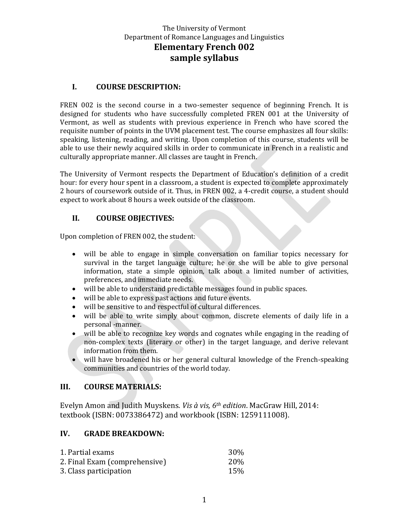## **I. COURSE DESCRIPTION:**

FREN 002 is the second course in a two-semester sequence of beginning French. It is designed for students who have successfully completed FREN 001 at the University of Vermont, as well as students with previous experience in French who have scored the requisite number of points in the UVM placement test. The course emphasizes all four skills: speaking, listening, reading, and writing. Upon completion of this course, students will be able to use their newly acquired skills in order to communicate in French in a realistic and culturally appropriate manner. All classes are taught in French.

The University of Vermont respects the Department of Education's definition of a credit hour: for every hour spent in a classroom, a student is expected to complete approximately 2 hours of coursework outside of it. Thus, in FREN 002, a 4-credit course, a student should expect to work about 8 hours a week outside of the classroom.

## **II. COURSE OBJECTIVES:**

Upon completion of FREN 002, the student:

- will be able to engage in simple conversation on familiar topics necessary for survival in the target language culture; he or she will be able to give personal information, state a simple opinion, talk about a limited number of activities, preferences, and immediate needs.
- will be able to understand predictable messages found in public spaces.
- will be able to express past actions and future events.
- will be sensitive to and respectful of cultural differences.
- will be able to write simply about common, discrete elements of daily life in a personal -manner.
- will be able to recognize key words and cognates while engaging in the reading of non-complex texts (literary or other) in the target language, and derive relevant information from them.
- will have broadened his or her general cultural knowledge of the French-speaking communities and countries of the world today.

## **III. COURSE MATERIALS:**

Evelyn Amon and Judith Muyskens. *Vis à vis, 6th edition*. MacGraw Hill, 2014: textbook (ISBN: 0073386472) and workbook (ISBN: 1259111008).

## **IV. GRADE BREAKDOWN:**

| 1. Partial exams              | 30%        |
|-------------------------------|------------|
| 2. Final Exam (comprehensive) | <b>20%</b> |
| 3. Class participation        | 15%        |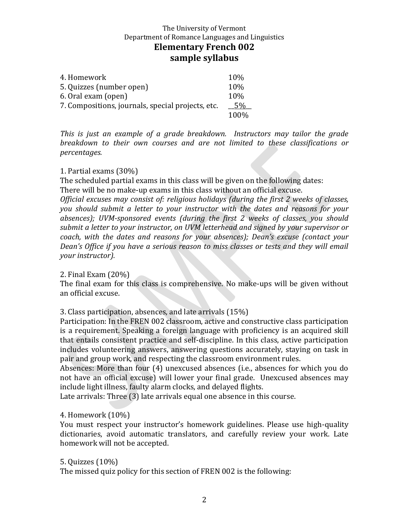| 4. Homework                                       | 10%   |
|---------------------------------------------------|-------|
| 5. Quizzes (number open)                          | 10%   |
| 6. Oral exam (open)                               | 10\%  |
| 7. Compositions, journals, special projects, etc. | 5%    |
|                                                   | 100\% |

*This is just an example of a grade breakdown. Instructors may tailor the grade breakdown to their own courses and are not limited to these classifications or percentages.*

## 1. Partial exams (30%)

The scheduled partial exams in this class will be given on the following dates: There will be no make-up exams in this class without an official excuse.

*Official excuses may consist of: religious holidays (during the first 2 weeks of classes, you should submit a letter to your instructor with the dates and reasons for your absences); UVM-sponsored events (during the first 2 weeks of classes, you should submit a letter to your instructor, on UVM letterhead and signed by your supervisor or coach, with the dates and reasons for your absences); Dean's excuse (contact your Dean's Office if you have a serious reason to miss classes or tests and they will email your instructor).*

#### 2. Final Exam (20%)

The final exam for this class is comprehensive. No make-ups will be given without an official excuse.

3. Class participation, absences, and late arrivals (15%)

Participation: In the FREN 002 classroom, active and constructive class participation is a requirement. Speaking a foreign language with proficiency is an acquired skill that entails consistent practice and self-discipline. In this class, active participation includes volunteering answers, answering questions accurately, staying on task in pair and group work, and respecting the classroom environment rules.

Absences: More than four (4) unexcused absences (i.e., absences for which you do not have an official excuse) will lower your final grade. Unexcused absences may include light illness, faulty alarm clocks, and delayed flights.

Late arrivals: Three (3) late arrivals equal one absence in this course.

## 4. Homework (10%)

You must respect your instructor's homework guidelines. Please use high-quality dictionaries, avoid automatic translators, and carefully review your work. Late homework will not be accepted.

#### 5. Quizzes (10%)

The missed quiz policy for this section of FREN 002 is the following: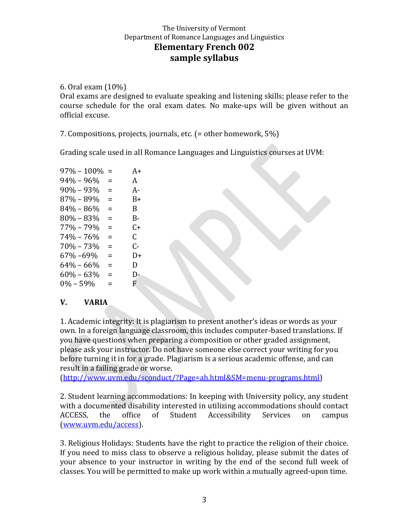6. Oral exam (10%)

Oral exams are designed to evaluate speaking and listening skills; please refer to the course schedule for the oral exam dates. No make-ups will be given without an official excuse.

7. Compositions, projects, journals, etc. (= other homework, 5%)

Grading scale used in all Romance Languages and Linguistics courses at UVM:

| $97\% - 100\%$ | =        | $A+$ |
|----------------|----------|------|
| $94\% - 96\%$  | $\equiv$ | A    |
| $90\% - 93\%$  | Ξ        | А-   |
| 87% – 89%      | =        | B+   |
| $84\% - 86\%$  | =        | B.   |
| $80\% - 83\%$  | Ξ        | B-   |
| $77\% - 79\%$  | $\equiv$ | C+   |
| $74\% - 76\%$  | $\equiv$ | C.   |
| $70\% - 73\%$  | =        | C-   |
| 67% –69%       | =        | D+   |
| $64\% - 66\%$  | =        | D    |
| $60\% - 63\%$  | =        | D-   |
| $0\% - 59\%$   | $=$      | F.   |

# **V. VARIA**

1. Academic integrity: It is plagiarism to present another's ideas or words as your own. In a foreign language classroom, this includes computer-based translations. If you have questions when preparing a composition or other graded assignment, please ask your instructor. Do not have someone else correct your writing for you before turning it in for a grade. Plagiarism is a serious academic offense, and can result in a failing grade or worse.

[\(http://www.uvm.edu/sconduct/?Page=ah.html&SM=menu-programs.html\)](http://www.uvm.edu/sconduct/?Page=ah.html&SM=menu-programs.html)

2. Student learning accommodations: In keeping with University policy, any student with a documented disability interested in utilizing accommodations should contact ACCESS, the office of Student Accessibility Services on campus [\(www.uvm.edu/access\)](http://www.uvm.edu/access).

3. Religious Holidays: Students have the right to practice the religion of their choice. If you need to miss class to observe a religious holiday, please submit the dates of your absence to your instructor in writing by the end of the second full week of classes. You will be permitted to make up work within a mutually agreed-upon time.